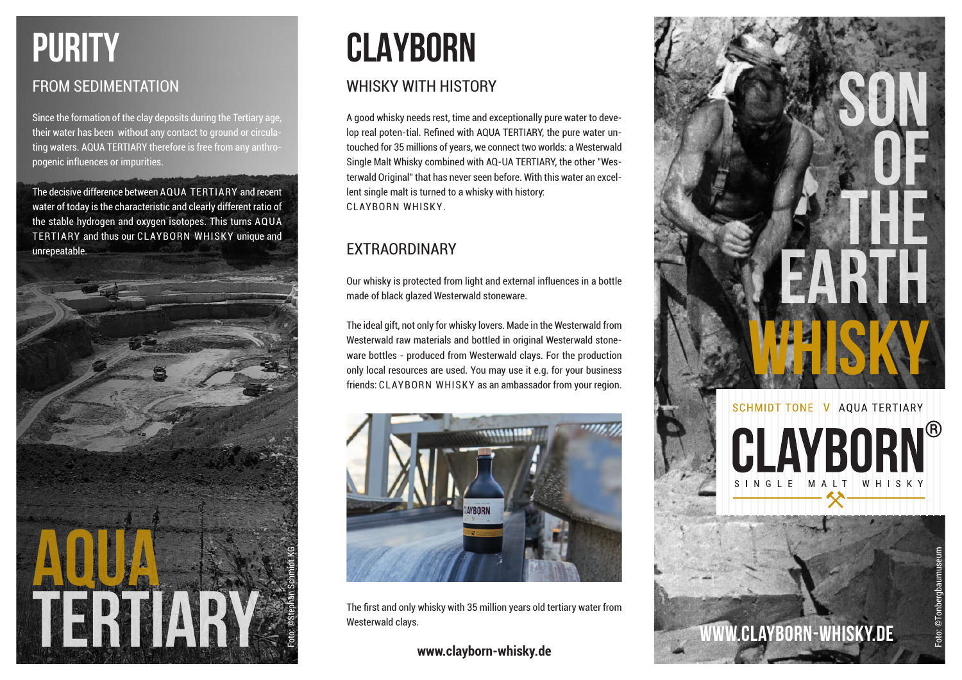

Since the formation of the clay deposits during the Tertiary age, their water has been without any contact to ground or circulating waters. AQUA TERTIARY therefore is free from any anthropogenic influences or impurities.

The decisive difference between AQUA TERTIARY and recent water of today is the characteristic and clearly different ratio of the stable hydrogen and oxygen isotopes. This turns AQUA TERTIARY and thus our CLAYBORN WHISKY unique and unrepeatable.



# **CLAYBORN**

## WHISKY WITH HISTORY

A good whisky needs rest, time and exceptionally pure water to develop real poten-tial. Refined with AQUA TERTIARY, the pure water untouched for 35 millions of years, we connect two worlds: a Westerwald Single Malt Whisky combined with AQ-UA TERTIARY, the other "Westerwald Original" that has never seen before. With this water an excellent single malt is turned to a whisky with history: CLAYBORN WHISKY.

## EXTRAORDINARY

Our whisky is protected from light and external influences in a bottle made of black glazed Westerwald stoneware.

The ideal gift, not only for whisky lovers. Made in the Westerwald from Westerwald raw materials and bottled in original Westerwald stoneware bottles - produced from Westerwald clays. For the production only local resources are used. You may use it e.g. for your business friends: CLAYBORN WHISKY as an ambassador from your region.



The first and only whisky with 35 million years old tertiary water from Westerwald clays.

**www.clayborn-whisky.de**